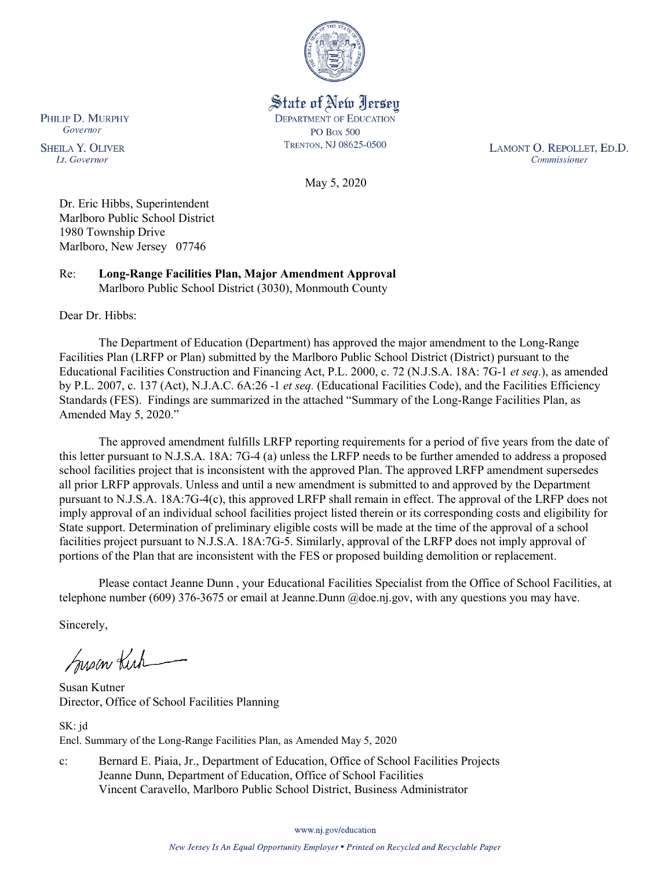

State of New Jersey **DEPARTMENT OF EDUCATION PO Box 500** TRENTON, NJ 08625-0500

LAMONT O. REPOLLET, ED.D. Commissioner

May 5, 2020

Dr. Eric Hibbs, Superintendent Marlboro Public School District 1980 Township Drive Marlboro, New Jersey 07746

Re: **Long-Range Facilities Plan, Major Amendment Approval** Marlboro Public School District (3030), Monmouth County

Dear Dr. Hibbs:

PHILIP D. MURPHY Governor

**SHEILA Y. OLIVER** 

Lt. Governor

The Department of Education (Department) has approved the major amendment to the Long-Range Facilities Plan (LRFP or Plan) submitted by the Marlboro Public School District (District) pursuant to the Educational Facilities Construction and Financing Act, P.L. 2000, c. 72 (N.J.S.A. 18A: 7G-1 *et seq.*), as amended by P.L. 2007, c. 137 (Act), N.J.A.C. 6A:26 -1 *et seq.* (Educational Facilities Code), and the Facilities Efficiency Standards (FES). Findings are summarized in the attached "Summary of the Long-Range Facilities Plan, as Amended May 5, 2020."

The approved amendment fulfills LRFP reporting requirements for a period of five years from the date of this letter pursuant to N.J.S.A. 18A: 7G-4 (a) unless the LRFP needs to be further amended to address a proposed school facilities project that is inconsistent with the approved Plan. The approved LRFP amendment supersedes all prior LRFP approvals. Unless and until a new amendment is submitted to and approved by the Department pursuant to N.J.S.A. 18A:7G-4(c), this approved LRFP shall remain in effect. The approval of the LRFP does not imply approval of an individual school facilities project listed therein or its corresponding costs and eligibility for State support. Determination of preliminary eligible costs will be made at the time of the approval of a school facilities project pursuant to N.J.S.A. 18A:7G-5. Similarly, approval of the LRFP does not imply approval of portions of the Plan that are inconsistent with the FES or proposed building demolition or replacement.

Please contact Jeanne Dunn , your Educational Facilities Specialist from the Office of School Facilities, at telephone number (609) 376-3675 or email at Jeanne.Dunn @doe.nj.gov, with any questions you may have.

Sincerely,

Susan Kich

Susan Kutner Director, Office of School Facilities Planning

SK: jd Encl. Summary of the Long-Range Facilities Plan, as Amended May 5, 2020

c: Bernard E. Piaia, Jr., Department of Education, Office of School Facilities Projects Jeanne Dunn, Department of Education, Office of School Facilities Vincent Caravello, Marlboro Public School District, Business Administrator

www.nj.gov/education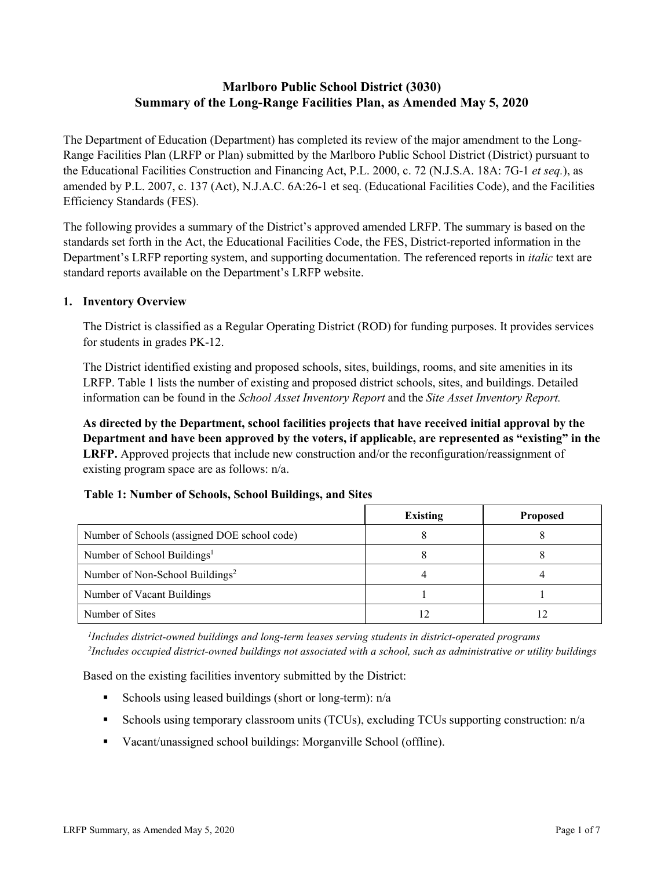# **Marlboro Public School District (3030) Summary of the Long-Range Facilities Plan, as Amended May 5, 2020**

The Department of Education (Department) has completed its review of the major amendment to the Long-Range Facilities Plan (LRFP or Plan) submitted by the Marlboro Public School District (District) pursuant to the Educational Facilities Construction and Financing Act, P.L. 2000, c. 72 (N.J.S.A. 18A: 7G-1 *et seq.*), as amended by P.L. 2007, c. 137 (Act), N.J.A.C. 6A:26-1 et seq. (Educational Facilities Code), and the Facilities Efficiency Standards (FES).

The following provides a summary of the District's approved amended LRFP. The summary is based on the standards set forth in the Act, the Educational Facilities Code, the FES, District-reported information in the Department's LRFP reporting system, and supporting documentation. The referenced reports in *italic* text are standard reports available on the Department's LRFP website.

### **1. Inventory Overview**

The District is classified as a Regular Operating District (ROD) for funding purposes. It provides services for students in grades PK-12.

The District identified existing and proposed schools, sites, buildings, rooms, and site amenities in its LRFP. Table 1 lists the number of existing and proposed district schools, sites, and buildings. Detailed information can be found in the *School Asset Inventory Report* and the *Site Asset Inventory Report.*

**As directed by the Department, school facilities projects that have received initial approval by the Department and have been approved by the voters, if applicable, are represented as "existing" in the LRFP.** Approved projects that include new construction and/or the reconfiguration/reassignment of existing program space are as follows: n/a.

# **Table 1: Number of Schools, School Buildings, and Sites**

|                                              | Existing | <b>Proposed</b> |
|----------------------------------------------|----------|-----------------|
| Number of Schools (assigned DOE school code) |          |                 |
| Number of School Buildings <sup>1</sup>      |          |                 |
| Number of Non-School Buildings <sup>2</sup>  |          |                 |
| Number of Vacant Buildings                   |          |                 |
| Number of Sites                              |          |                 |

*1 Includes district-owned buildings and long-term leases serving students in district-operated programs 2 Includes occupied district-owned buildings not associated with a school, such as administrative or utility buildings*

Based on the existing facilities inventory submitted by the District:

- Schools using leased buildings (short or long-term):  $n/a$
- Schools using temporary classroom units (TCUs), excluding TCUs supporting construction: n/a
- Vacant/unassigned school buildings: Morganville School (offline).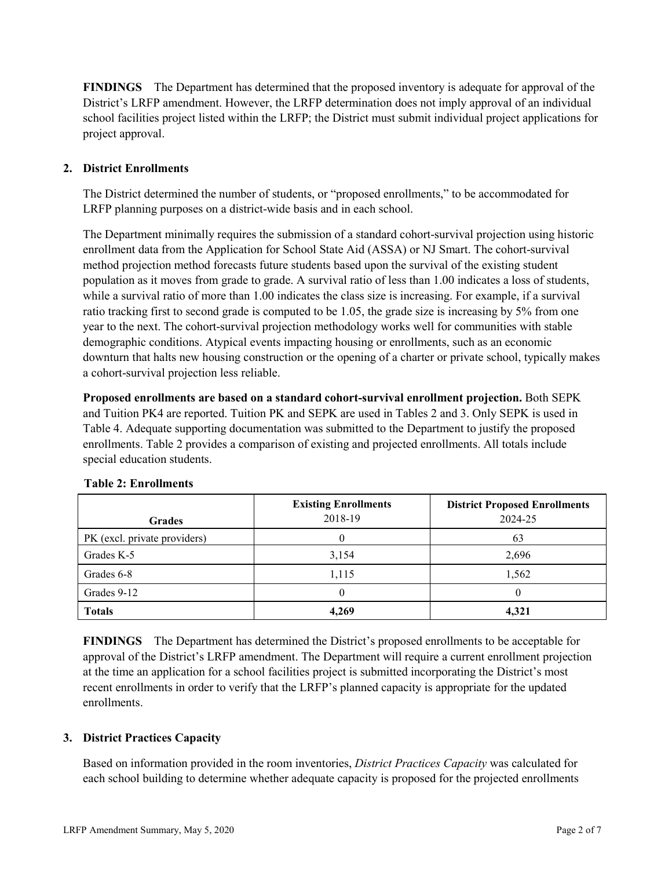**FINDINGS** The Department has determined that the proposed inventory is adequate for approval of the District's LRFP amendment. However, the LRFP determination does not imply approval of an individual school facilities project listed within the LRFP; the District must submit individual project applications for project approval.

# **2. District Enrollments**

The District determined the number of students, or "proposed enrollments," to be accommodated for LRFP planning purposes on a district-wide basis and in each school.

The Department minimally requires the submission of a standard cohort-survival projection using historic enrollment data from the Application for School State Aid (ASSA) or NJ Smart. The cohort-survival method projection method forecasts future students based upon the survival of the existing student population as it moves from grade to grade. A survival ratio of less than 1.00 indicates a loss of students, while a survival ratio of more than 1.00 indicates the class size is increasing. For example, if a survival ratio tracking first to second grade is computed to be 1.05, the grade size is increasing by 5% from one year to the next. The cohort-survival projection methodology works well for communities with stable demographic conditions. Atypical events impacting housing or enrollments, such as an economic downturn that halts new housing construction or the opening of a charter or private school, typically makes a cohort-survival projection less reliable.

**Proposed enrollments are based on a standard cohort-survival enrollment projection.** Both SEPK and Tuition PK4 are reported. Tuition PK and SEPK are used in Tables 2 and 3. Only SEPK is used in Table 4. Adequate supporting documentation was submitted to the Department to justify the proposed enrollments. Table 2 provides a comparison of existing and projected enrollments. All totals include special education students.

| <b>Grades</b>                | <b>Existing Enrollments</b><br>2018-19 | <b>District Proposed Enrollments</b><br>2024-25 |
|------------------------------|----------------------------------------|-------------------------------------------------|
| PK (excl. private providers) |                                        | 63                                              |
| Grades K-5                   | 3,154                                  | 2,696                                           |
| Grades 6-8                   | 1,115                                  | 1,562                                           |
| Grades 9-12                  |                                        | 0                                               |
| <b>Totals</b>                | 4,269                                  | 4,321                                           |

#### **Table 2: Enrollments**

**FINDINGS** The Department has determined the District's proposed enrollments to be acceptable for approval of the District's LRFP amendment. The Department will require a current enrollment projection at the time an application for a school facilities project is submitted incorporating the District's most recent enrollments in order to verify that the LRFP's planned capacity is appropriate for the updated enrollments.

# **3. District Practices Capacity**

Based on information provided in the room inventories, *District Practices Capacity* was calculated for each school building to determine whether adequate capacity is proposed for the projected enrollments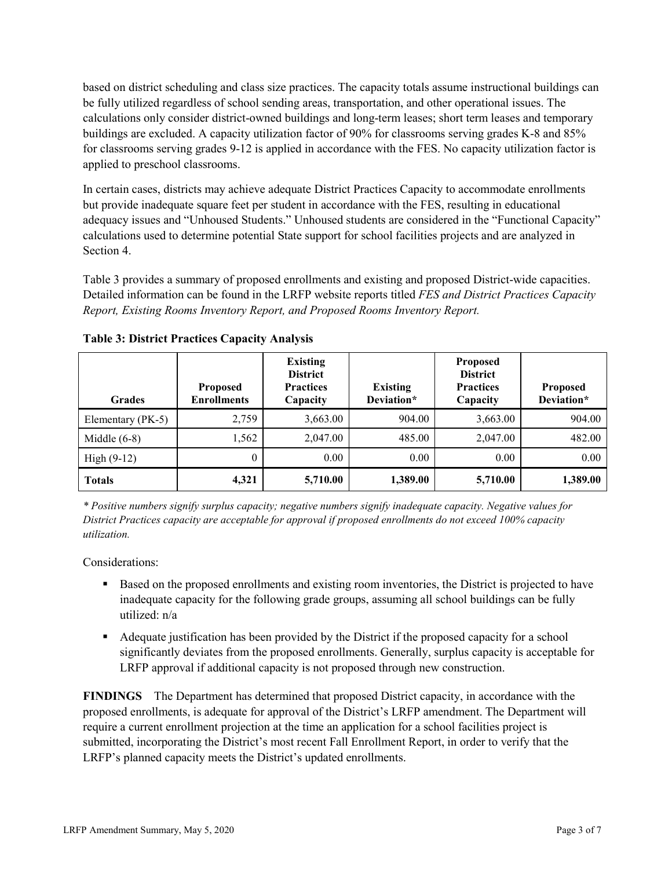based on district scheduling and class size practices. The capacity totals assume instructional buildings can be fully utilized regardless of school sending areas, transportation, and other operational issues. The calculations only consider district-owned buildings and long-term leases; short term leases and temporary buildings are excluded. A capacity utilization factor of 90% for classrooms serving grades K-8 and 85% for classrooms serving grades 9-12 is applied in accordance with the FES. No capacity utilization factor is applied to preschool classrooms.

In certain cases, districts may achieve adequate District Practices Capacity to accommodate enrollments but provide inadequate square feet per student in accordance with the FES, resulting in educational adequacy issues and "Unhoused Students." Unhoused students are considered in the "Functional Capacity" calculations used to determine potential State support for school facilities projects and are analyzed in Section 4.

Table 3 provides a summary of proposed enrollments and existing and proposed District-wide capacities. Detailed information can be found in the LRFP website reports titled *FES and District Practices Capacity Report, Existing Rooms Inventory Report, and Proposed Rooms Inventory Report.*

| <b>Grades</b>     | <b>Proposed</b><br><b>Enrollments</b> | <b>Existing</b><br><b>District</b><br><b>Practices</b><br>Capacity | <b>Existing</b><br>Deviation* | <b>Proposed</b><br><b>District</b><br><b>Practices</b><br>Capacity | <b>Proposed</b><br>Deviation* |
|-------------------|---------------------------------------|--------------------------------------------------------------------|-------------------------------|--------------------------------------------------------------------|-------------------------------|
| Elementary (PK-5) | 2,759                                 | 3,663.00                                                           | 904.00                        | 3,663.00                                                           | 904.00                        |
| Middle $(6-8)$    | 1,562                                 | 2,047.00                                                           | 485.00                        | 2,047.00                                                           | 482.00                        |
| High $(9-12)$     | $\theta$                              | 0.00                                                               | 0.00                          | 0.00                                                               | 0.00                          |
| <b>Totals</b>     | 4,321                                 | 5,710.00                                                           | 1,389.00                      | 5,710.00                                                           | 1,389.00                      |

| Table 3: District Practices Capacity Analysis |
|-----------------------------------------------|
|-----------------------------------------------|

*\* Positive numbers signify surplus capacity; negative numbers signify inadequate capacity. Negative values for District Practices capacity are acceptable for approval if proposed enrollments do not exceed 100% capacity utilization.*

Considerations:

- Based on the proposed enrollments and existing room inventories, the District is projected to have inadequate capacity for the following grade groups, assuming all school buildings can be fully utilized: n/a
- Adequate justification has been provided by the District if the proposed capacity for a school significantly deviates from the proposed enrollments. Generally, surplus capacity is acceptable for LRFP approval if additional capacity is not proposed through new construction.

**FINDINGS**The Department has determined that proposed District capacity, in accordance with the proposed enrollments, is adequate for approval of the District's LRFP amendment. The Department will require a current enrollment projection at the time an application for a school facilities project is submitted, incorporating the District's most recent Fall Enrollment Report, in order to verify that the LRFP's planned capacity meets the District's updated enrollments.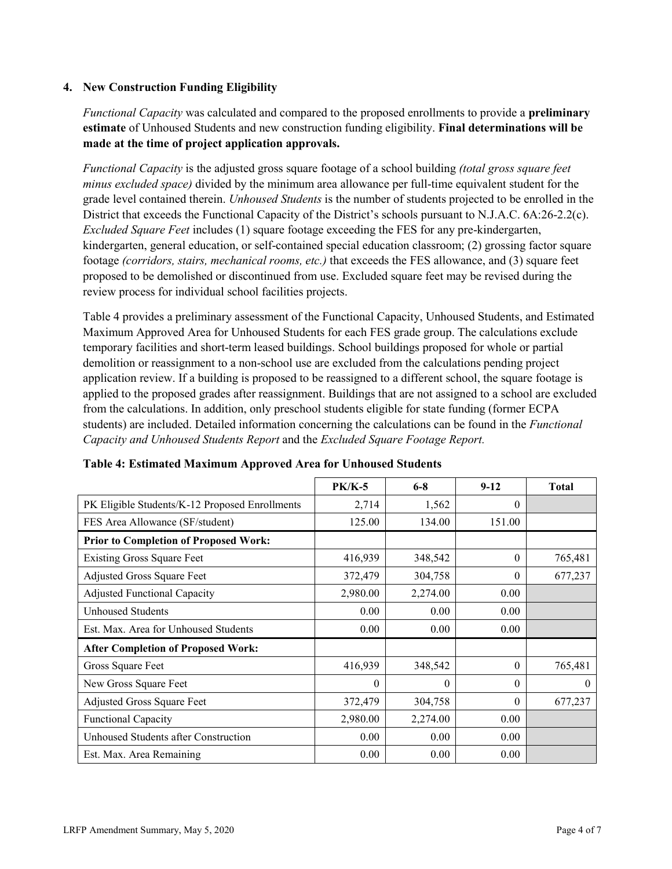### **4. New Construction Funding Eligibility**

*Functional Capacity* was calculated and compared to the proposed enrollments to provide a **preliminary estimate** of Unhoused Students and new construction funding eligibility. **Final determinations will be made at the time of project application approvals.**

*Functional Capacity* is the adjusted gross square footage of a school building *(total gross square feet minus excluded space)* divided by the minimum area allowance per full-time equivalent student for the grade level contained therein. *Unhoused Students* is the number of students projected to be enrolled in the District that exceeds the Functional Capacity of the District's schools pursuant to N.J.A.C. 6A:26-2.2(c). *Excluded Square Feet* includes (1) square footage exceeding the FES for any pre-kindergarten, kindergarten, general education, or self-contained special education classroom; (2) grossing factor square footage *(corridors, stairs, mechanical rooms, etc.)* that exceeds the FES allowance, and (3) square feet proposed to be demolished or discontinued from use. Excluded square feet may be revised during the review process for individual school facilities projects.

Table 4 provides a preliminary assessment of the Functional Capacity, Unhoused Students, and Estimated Maximum Approved Area for Unhoused Students for each FES grade group. The calculations exclude temporary facilities and short-term leased buildings. School buildings proposed for whole or partial demolition or reassignment to a non-school use are excluded from the calculations pending project application review. If a building is proposed to be reassigned to a different school, the square footage is applied to the proposed grades after reassignment. Buildings that are not assigned to a school are excluded from the calculations. In addition, only preschool students eligible for state funding (former ECPA students) are included. Detailed information concerning the calculations can be found in the *Functional Capacity and Unhoused Students Report* and the *Excluded Square Footage Report.*

|                                                | $PK/K-5$ | $6 - 8$  | $9-12$   | <b>Total</b> |
|------------------------------------------------|----------|----------|----------|--------------|
| PK Eligible Students/K-12 Proposed Enrollments | 2,714    | 1,562    | $\theta$ |              |
| FES Area Allowance (SF/student)                | 125.00   | 134.00   | 151.00   |              |
| <b>Prior to Completion of Proposed Work:</b>   |          |          |          |              |
| <b>Existing Gross Square Feet</b>              | 416,939  | 348,542  | $\theta$ | 765,481      |
| Adjusted Gross Square Feet                     | 372,479  | 304,758  | 0        | 677,237      |
| <b>Adjusted Functional Capacity</b>            | 2,980.00 | 2,274.00 | 0.00     |              |
| Unhoused Students                              | 0.00     | 0.00     | 0.00     |              |
| Est. Max. Area for Unhoused Students           | 0.00     | 0.00     | 0.00     |              |
| <b>After Completion of Proposed Work:</b>      |          |          |          |              |
| Gross Square Feet                              | 416,939  | 348,542  | $\theta$ | 765,481      |
| New Gross Square Feet                          | $\theta$ | 0        | $\theta$ | $\theta$     |
| Adjusted Gross Square Feet                     | 372,479  | 304,758  | $\Omega$ | 677,237      |
| Functional Capacity                            | 2,980.00 | 2,274.00 | 0.00     |              |
| Unhoused Students after Construction           | 0.00     | 0.00     | 0.00     |              |
| Est. Max. Area Remaining                       | 0.00     | 0.00     | 0.00     |              |

**Table 4: Estimated Maximum Approved Area for Unhoused Students**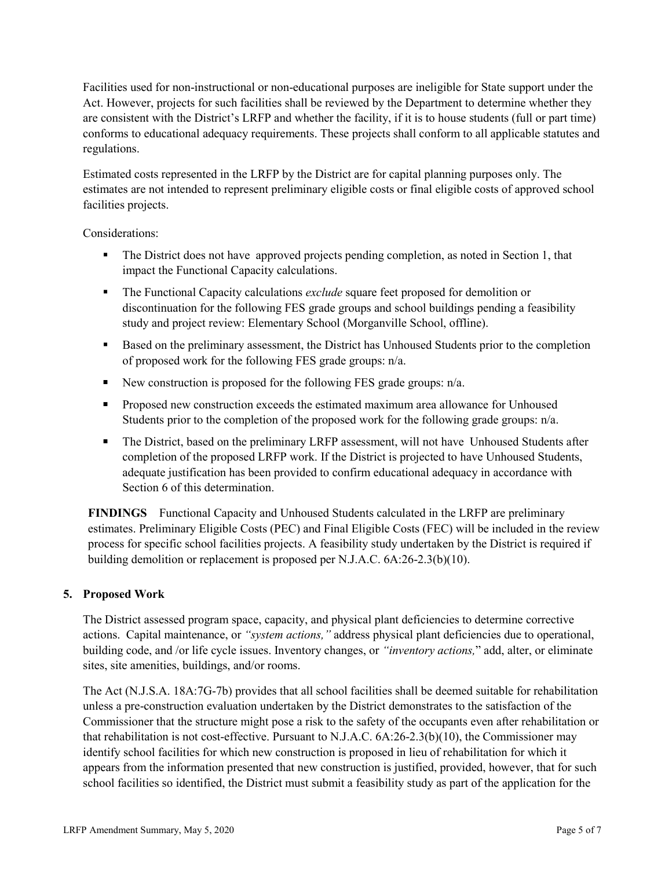Facilities used for non-instructional or non-educational purposes are ineligible for State support under the Act. However, projects for such facilities shall be reviewed by the Department to determine whether they are consistent with the District's LRFP and whether the facility, if it is to house students (full or part time) conforms to educational adequacy requirements. These projects shall conform to all applicable statutes and regulations.

Estimated costs represented in the LRFP by the District are for capital planning purposes only. The estimates are not intended to represent preliminary eligible costs or final eligible costs of approved school facilities projects.

Considerations:

- The District does not have approved projects pending completion, as noted in Section 1, that impact the Functional Capacity calculations.
- The Functional Capacity calculations *exclude* square feet proposed for demolition or discontinuation for the following FES grade groups and school buildings pending a feasibility study and project review: Elementary School (Morganville School, offline).
- **Based on the preliminary assessment, the District has Unhoused Students prior to the completion** of proposed work for the following FES grade groups: n/a.
- New construction is proposed for the following FES grade groups:  $n/a$ .
- **Proposed new construction exceeds the estimated maximum area allowance for Unhoused** Students prior to the completion of the proposed work for the following grade groups: n/a.
- The District, based on the preliminary LRFP assessment, will not have Unhoused Students after completion of the proposed LRFP work. If the District is projected to have Unhoused Students, adequate justification has been provided to confirm educational adequacy in accordance with Section 6 of this determination.

**FINDINGS** Functional Capacity and Unhoused Students calculated in the LRFP are preliminary estimates. Preliminary Eligible Costs (PEC) and Final Eligible Costs (FEC) will be included in the review process for specific school facilities projects. A feasibility study undertaken by the District is required if building demolition or replacement is proposed per N.J.A.C. 6A:26-2.3(b)(10).

# **5. Proposed Work**

The District assessed program space, capacity, and physical plant deficiencies to determine corrective actions. Capital maintenance, or *"system actions,"* address physical plant deficiencies due to operational, building code, and /or life cycle issues. Inventory changes, or *"inventory actions,*" add, alter, or eliminate sites, site amenities, buildings, and/or rooms.

The Act (N.J.S.A. 18A:7G-7b) provides that all school facilities shall be deemed suitable for rehabilitation unless a pre-construction evaluation undertaken by the District demonstrates to the satisfaction of the Commissioner that the structure might pose a risk to the safety of the occupants even after rehabilitation or that rehabilitation is not cost-effective. Pursuant to N.J.A.C. 6A:26-2.3(b)(10), the Commissioner may identify school facilities for which new construction is proposed in lieu of rehabilitation for which it appears from the information presented that new construction is justified, provided, however, that for such school facilities so identified, the District must submit a feasibility study as part of the application for the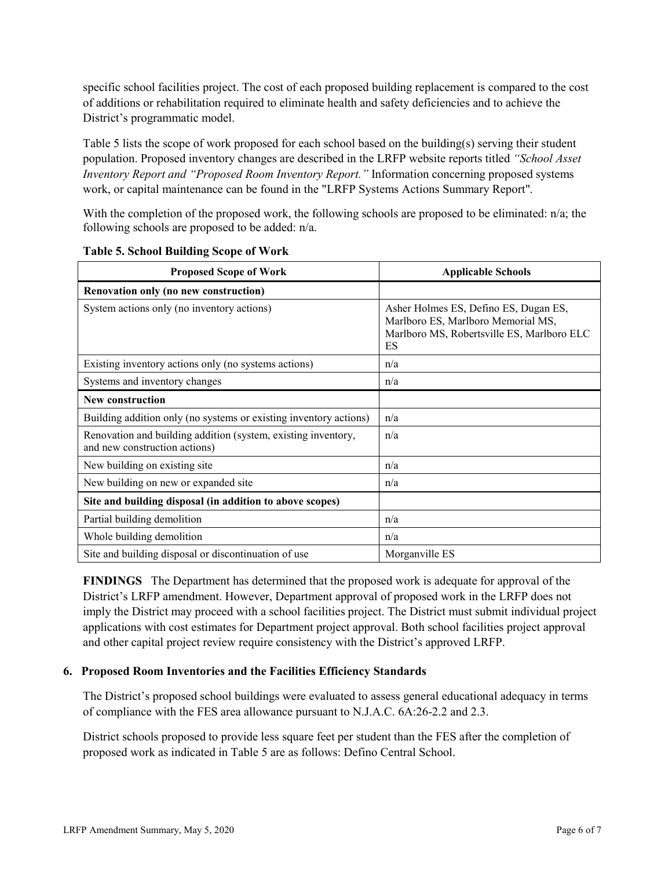specific school facilities project. The cost of each proposed building replacement is compared to the cost of additions or rehabilitation required to eliminate health and safety deficiencies and to achieve the District's programmatic model.

Table 5 lists the scope of work proposed for each school based on the building(s) serving their student population. Proposed inventory changes are described in the LRFP website reports titled *"School Asset Inventory Report and "Proposed Room Inventory Report."* Information concerning proposed systems work, or capital maintenance can be found in the "LRFP Systems Actions Summary Report".

With the completion of the proposed work, the following schools are proposed to be eliminated: n/a; the following schools are proposed to be added: n/a.

| <b>Proposed Scope of Work</b>                                                                  | <b>Applicable Schools</b>                                                                                                       |
|------------------------------------------------------------------------------------------------|---------------------------------------------------------------------------------------------------------------------------------|
| Renovation only (no new construction)                                                          |                                                                                                                                 |
| System actions only (no inventory actions)                                                     | Asher Holmes ES, Defino ES, Dugan ES,<br>Marlboro ES, Marlboro Memorial MS,<br>Marlboro MS, Robertsville ES, Marlboro ELC<br>ES |
| Existing inventory actions only (no systems actions)                                           | n/a                                                                                                                             |
| Systems and inventory changes                                                                  | n/a                                                                                                                             |
| <b>New construction</b>                                                                        |                                                                                                                                 |
| Building addition only (no systems or existing inventory actions)                              | n/a                                                                                                                             |
| Renovation and building addition (system, existing inventory,<br>and new construction actions) | n/a                                                                                                                             |
| New building on existing site                                                                  | n/a                                                                                                                             |
| New building on new or expanded site                                                           | n/a                                                                                                                             |
| Site and building disposal (in addition to above scopes)                                       |                                                                                                                                 |
| Partial building demolition                                                                    | n/a                                                                                                                             |
| Whole building demolition                                                                      | n/a                                                                                                                             |
| Site and building disposal or discontinuation of use                                           | Morganville ES                                                                                                                  |

**Table 5. School Building Scope of Work**

**FINDINGS** The Department has determined that the proposed work is adequate for approval of the District's LRFP amendment. However, Department approval of proposed work in the LRFP does not imply the District may proceed with a school facilities project. The District must submit individual project applications with cost estimates for Department project approval. Both school facilities project approval and other capital project review require consistency with the District's approved LRFP.

#### **6. Proposed Room Inventories and the Facilities Efficiency Standards**

The District's proposed school buildings were evaluated to assess general educational adequacy in terms of compliance with the FES area allowance pursuant to N.J.A.C. 6A:26-2.2 and 2.3.

District schools proposed to provide less square feet per student than the FES after the completion of proposed work as indicated in Table 5 are as follows: Defino Central School.